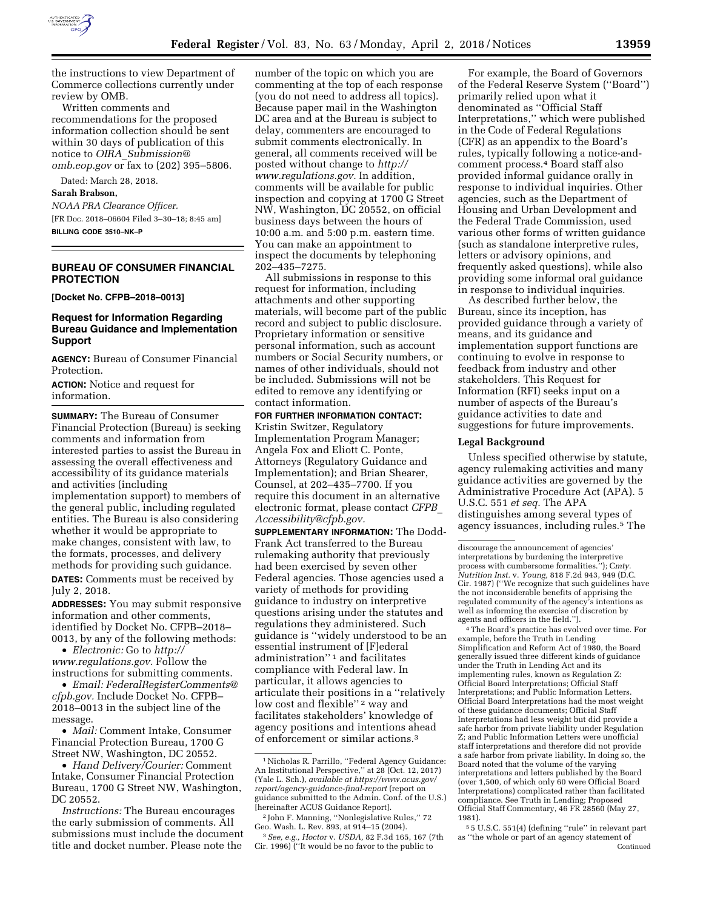

the instructions to view Department of Commerce collections currently under review by OMB.

Written comments and recommendations for the proposed information collection should be sent within 30 days of publication of this notice to *OIRA*\_*[Submission@](mailto:OIRA_Submission@omb.eop.gov) [omb.eop.gov](mailto:OIRA_Submission@omb.eop.gov)* or fax to (202) 395–5806.

Dated: March 28, 2018.

#### **Sarah Brabson,**

*NOAA PRA Clearance Officer.*  [FR Doc. 2018–06604 Filed 3–30–18; 8:45 am] **BILLING CODE 3510–NK–P** 

## **BUREAU OF CONSUMER FINANCIAL PROTECTION**

**[Docket No. CFPB–2018–0013]** 

## **Request for Information Regarding Bureau Guidance and Implementation Support**

**AGENCY:** Bureau of Consumer Financial Protection.

**ACTION:** Notice and request for information.

**SUMMARY:** The Bureau of Consumer Financial Protection (Bureau) is seeking comments and information from interested parties to assist the Bureau in assessing the overall effectiveness and accessibility of its guidance materials and activities (including implementation support) to members of the general public, including regulated entities. The Bureau is also considering whether it would be appropriate to make changes, consistent with law, to the formats, processes, and delivery methods for providing such guidance. **DATES:** Comments must be received by

July 2, 2018.

**ADDRESSES:** You may submit responsive information and other comments, identified by Docket No. CFPB–2018– 0013, by any of the following methods:

• *Electronic:* Go to *[http://](http://www.regulations.gov) [www.regulations.gov.](http://www.regulations.gov)* Follow the instructions for submitting comments.

• *Email: [FederalRegisterComments@](mailto:FederalRegisterComments@cfpb.gov) [cfpb.gov.](mailto:FederalRegisterComments@cfpb.gov)* Include Docket No. CFPB– 2018–0013 in the subject line of the message.

• *Mail:* Comment Intake, Consumer Financial Protection Bureau, 1700 G Street NW, Washington, DC 20552.

• *Hand Delivery/Courier:* Comment Intake, Consumer Financial Protection Bureau, 1700 G Street NW, Washington, DC 20552.

*Instructions:* The Bureau encourages the early submission of comments. All submissions must include the document title and docket number. Please note the

number of the topic on which you are commenting at the top of each response (you do not need to address all topics). Because paper mail in the Washington DC area and at the Bureau is subject to delay, commenters are encouraged to submit comments electronically. In general, all comments received will be posted without change to *[http://](http://www.regulations.gov) [www.regulations.gov.](http://www.regulations.gov)* In addition, comments will be available for public inspection and copying at 1700 G Street NW, Washington, DC 20552, on official business days between the hours of 10:00 a.m. and 5:00 p.m. eastern time. You can make an appointment to inspect the documents by telephoning 202–435–7275.

All submissions in response to this request for information, including attachments and other supporting materials, will become part of the public record and subject to public disclosure. Proprietary information or sensitive personal information, such as account numbers or Social Security numbers, or names of other individuals, should not be included. Submissions will not be edited to remove any identifying or contact information.

# **FOR FURTHER INFORMATION CONTACT:**

Kristin Switzer, Regulatory Implementation Program Manager; Angela Fox and Eliott C. Ponte, Attorneys (Regulatory Guidance and Implementation); and Brian Shearer, Counsel, at 202–435–7700. If you require this document in an alternative electronic format, please contact *[CFPB](mailto:CFPB_Accessibility@cfpb.gov)*\_ *[Accessibility@cfpb.gov.](mailto:CFPB_Accessibility@cfpb.gov)* 

**SUPPLEMENTARY INFORMATION:** The Dodd-Frank Act transferred to the Bureau rulemaking authority that previously had been exercised by seven other Federal agencies. Those agencies used a variety of methods for providing guidance to industry on interpretive questions arising under the statutes and regulations they administered. Such guidance is ''widely understood to be an essential instrument of [F]ederal administration'' 1 and facilitates compliance with Federal law. In particular, it allows agencies to articulate their positions in a ''relatively low cost and flexible"<sup>2</sup> way and facilitates stakeholders' knowledge of agency positions and intentions ahead of enforcement or similar actions.3

For example, the Board of Governors of the Federal Reserve System (''Board'') primarily relied upon what it denominated as ''Official Staff Interpretations,'' which were published in the Code of Federal Regulations (CFR) as an appendix to the Board's rules, typically following a notice-andcomment process.4 Board staff also provided informal guidance orally in response to individual inquiries. Other agencies, such as the Department of Housing and Urban Development and the Federal Trade Commission, used various other forms of written guidance (such as standalone interpretive rules, letters or advisory opinions, and frequently asked questions), while also providing some informal oral guidance in response to individual inquiries.

As described further below, the Bureau, since its inception, has provided guidance through a variety of means, and its guidance and implementation support functions are continuing to evolve in response to feedback from industry and other stakeholders. This Request for Information (RFI) seeks input on a number of aspects of the Bureau's guidance activities to date and suggestions for future improvements.

### **Legal Background**

Unless specified otherwise by statute, agency rulemaking activities and many guidance activities are governed by the Administrative Procedure Act (APA). 5 U.S.C. 551 *et seq.* The APA distinguishes among several types of agency issuances, including rules.5 The

4The Board's practice has evolved over time. For example, before the Truth in Lending Simplification and Reform Act of 1980, the Board generally issued three different kinds of guidance under the Truth in Lending Act and its implementing rules, known as Regulation Z: Official Board Interpretations; Official Staff Interpretations; and Public Information Letters. Official Board Interpretations had the most weight of these guidance documents; Official Staff Interpretations had less weight but did provide a safe harbor from private liability under Regulation Z; and Public Information Letters were unofficial staff interpretations and therefore did not provide a safe harbor from private liability. In doing so, the Board noted that the volume of the varying interpretations and letters published by the Board (over 1,500, of which only 60 were Official Board Interpretations) complicated rather than facilitated compliance. See Truth in Lending; Proposed Official Staff Commentary, 46 FR 28560 (May 27, 1981).

5 5 U.S.C. 551(4) (defining ''rule'' in relevant part as ''the whole or part of an agency statement of Continued

<sup>1</sup>Nicholas R. Parrillo, ''Federal Agency Guidance: An Institutional Perspective," at 28 (Oct. 12, 2017) (Yale L. Sch.), *available at [https://www.acus.gov/](https://www.acus.gov/report/agency-guidance-final-report) [report/agency-guidance-final-report](https://www.acus.gov/report/agency-guidance-final-report)* (report on guidance submitted to the Admin. Conf. of the U.S.) [hereinafter ACUS Guidance Report].

<sup>2</sup> John F. Manning, ''Nonlegislative Rules,'' 72 Geo. Wash. L. Rev. 893, at 914–15 (2004).

<sup>3</sup>*See, e.g., Hoctor* v. *USDA,* 82 F.3d 165, 167 (7th Cir. 1996) (''It would be no favor to the public to

discourage the announcement of agencies' interpretations by burdening the interpretive process with cumbersome formalities.''); C*mty. Nutrition Inst.* v. *Young,* 818 F.2d 943, 949 (D.C. Cir. 1987) (''We recognize that such guidelines have the not inconsiderable benefits of apprising the regulated community of the agency's intentions as well as informing the exercise of discretion by agents and officers in the field.'').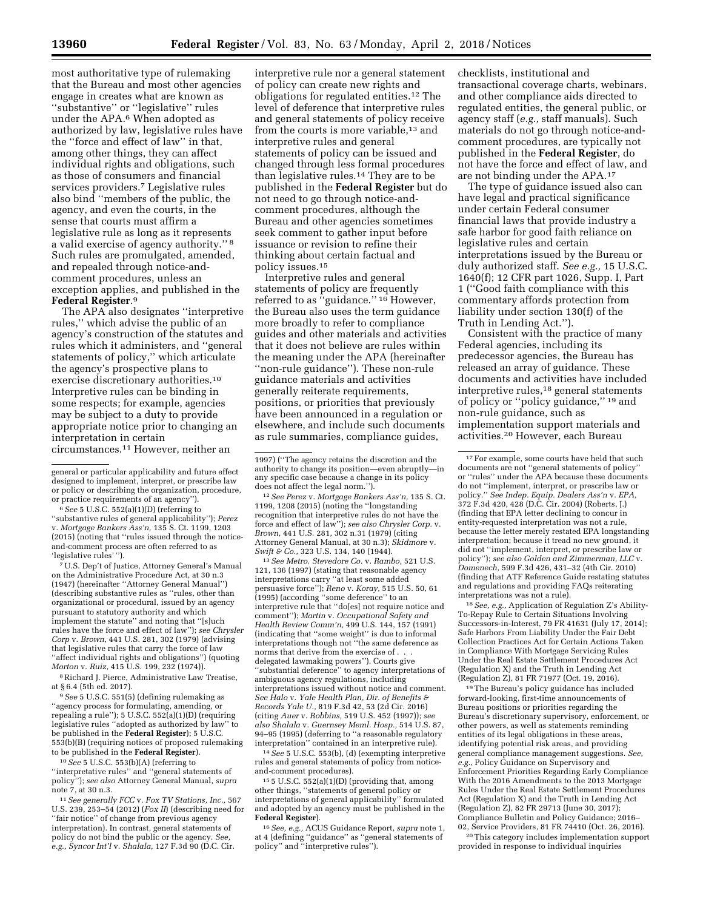most authoritative type of rulemaking that the Bureau and most other agencies engage in creates what are known as ''substantive'' or ''legislative'' rules under the APA.6 When adopted as authorized by law, legislative rules have the ''force and effect of law'' in that, among other things, they can affect individual rights and obligations, such as those of consumers and financial services providers.7 Legislative rules also bind ''members of the public, the agency, and even the courts, in the sense that courts must affirm a legislative rule as long as it represents a valid exercise of agency authority.'' 8 Such rules are promulgated, amended, and repealed through notice-andcomment procedures, unless an exception applies, and published in the **Federal Register**.9

The APA also designates ''interpretive rules,'' which advise the public of an agency's construction of the statutes and rules which it administers, and ''general statements of policy,'' which articulate the agency's prospective plans to exercise discretionary authorities.10 Interpretive rules can be binding in some respects; for example, agencies may be subject to a duty to provide appropriate notice prior to changing an interpretation in certain circumstances.11 However, neither an

6*See* 5 U.S.C. 552(a)(1)(D) (referring to

''substantive rules of general applicability''); *Perez*  v. *Mortgage Bankers Ass'n,* 135 S. Ct. 1199, 1203 (2015) (noting that ''rules issued through the noticeand-comment process are often referred to as 'legislative rules'").

7U.S. Dep't of Justice, Attorney General's Manual on the Administrative Procedure Act, at 30 n.3 (1947) (hereinafter ''Attorney General Manual'') (describing substantive rules as ''rules, other than organizational or procedural, issued by an agency pursuant to statutory authority and which implement the statute'' and noting that ''[s]uch rules have the force and effect of law''); *see Chrysler Corp* v. *Brown,* 441 U.S. 281, 302 (1979) (advising that legislative rules that carry the force of law ''affect individual rights and obligations'') (quoting *Morton* v. *Ruiz,* 415 U.S. 199, 232 (1974)).

<sup>8</sup> Richard J. Pierce, Administrative Law Treatise, at § 6.4 (5th ed. 2017).

9*See* 5 U.S.C. 551(5) (defining rulemaking as ''agency process for formulating, amending, or repealing a rule''); 5 U.S.C. 552(a)(1)(D) (requiring legislative rules "adopted as authorized by law" be published in the **Federal Register**); 5 U.S.C. 553(b)(B) (requiring notices of proposed rulemaking to be published in the **Federal Register**).

10*See* 5 U.S.C. 553(b)(A) (referring to ''interpretative rules'' and ''general statements of policy''); *see also* Attorney General Manual, *supra*  note 7, at 30 n.3.

11*See generally FCC* v. *Fox TV Stations, Inc.,* 567 U.S. 239, 253–54 (2012) (*Fox II*) (describing need for ''fair notice'' of change from previous agency interpretation). In contrast, general statements of policy do not bind the public or the agency. *See, e.g., Syncor Int'l* v. *Shalala,* 127 F.3d 90 (D.C. Cir.

interpretive rule nor a general statement of policy can create new rights and obligations for regulated entities.12 The level of deference that interpretive rules and general statements of policy receive from the courts is more variable,<sup>13</sup> and interpretive rules and general statements of policy can be issued and changed through less formal procedures than legislative rules.14 They are to be published in the **Federal Register** but do not need to go through notice-andcomment procedures, although the Bureau and other agencies sometimes seek comment to gather input before issuance or revision to refine their thinking about certain factual and policy issues.15

Interpretive rules and general statements of policy are frequently referred to as ''guidance.'' 16 However, the Bureau also uses the term guidance more broadly to refer to compliance guides and other materials and activities that it does not believe are rules within the meaning under the APA (hereinafter ''non-rule guidance''). These non-rule guidance materials and activities generally reiterate requirements, positions, or priorities that previously have been announced in a regulation or elsewhere, and include such documents as rule summaries, compliance guides,

does not affect the legal norm.''). 12*See Perez* v. *Mortgage Bankers Ass'n,* 135 S. Ct. 1199, 1208 (2015) (noting the ''longstanding recognition that interpretive rules do not have the force and effect of law''); *see also Chrysler Corp.* v. *Brown,* 441 U.S. 281, 302 n.31 (1979) (citing Attorney General Manual, at 30 n.3); *Skidmore* v. *Swift & Co.,* 323 U.S. 134, 140 (1944).

13*See Metro. Stevedore Co.* v. *Rambo,* 521 U.S. 121, 136 (1997) (stating that reasonable agency interpretations carry ''at least some added persuasive force''); *Reno* v. *Koray,* 515 U.S. 50, 61 (1995) (according ''some deference'' to an interpretive rule that ''do[es] not require notice and comment''); *Martin* v. *Occupational Safety and Health Review Comm'n,* 499 U.S. 144, 157 (1991) (indicating that ''some weight'' is due to informal interpretations though not ''the same deference as norms that derive from the exercise of . . . delegated lawmaking powers''). Courts give ''substantial deference'' to agency interpretations of ambiguous agency regulations, including interpretations issued without notice and comment. *See Halo* v. *Yale Health Plan, Dir. of Benefits & Records Yale U.,* 819 F.3d 42, 53 (2d Cir. 2016) (citing *Auer* v. *Robbins,* 519 U.S. 452 (1997)); *see also Shalala* v. *Guernsey Meml. Hosp.,* 514 U.S. 87, 94–95 (1995) (deferring to ''a reasonable regulatory interpretation'' contained in an interpretive rule).

14*See* 5 U.S.C. 553(b), (d) (exempting interpretive rules and general statements of policy from noticeand-comment procedures).

15 5 U.S.C. 552(a)(1)(D) (providing that, among other things, ''statements of general policy or interpretations of general applicability'' formulated and adopted by an agency must be published in the **Federal Register**).

16*See, e.g.,* ACUS Guidance Report, *supra* note 1, at 4 (defining ''guidance'' as ''general statements of policy'' and ''interpretive rules''). checklists, institutional and transactional coverage charts, webinars, and other compliance aids directed to regulated entities, the general public, or agency staff (*e.g.,* staff manuals). Such materials do not go through notice-andcomment procedures, are typically not published in the **Federal Register**, do not have the force and effect of law, and are not binding under the APA.17

The type of guidance issued also can have legal and practical significance under certain Federal consumer financial laws that provide industry a safe harbor for good faith reliance on legislative rules and certain interpretations issued by the Bureau or duly authorized staff. *See e.g.,* 15 U.S.C. 1640(f); 12 CFR part 1026, Supp. I, Part 1 (''Good faith compliance with this commentary affords protection from liability under section 130(f) of the Truth in Lending Act.'').

Consistent with the practice of many Federal agencies, including its predecessor agencies, the Bureau has released an array of guidance. These documents and activities have included interpretive rules,18 general statements of policy or ''policy guidance,'' 19 and non-rule guidance, such as implementation support materials and activities.20 However, each Bureau

18*See, e.g.,* Application of Regulation Z's Ability-To-Repay Rule to Certain Situations Involving Successors-in-Interest, 79 FR 41631 (July 17, 2014); Safe Harbors From Liability Under the Fair Debt Collection Practices Act for Certain Actions Taken in Compliance With Mortgage Servicing Rules Under the Real Estate Settlement Procedures Act (Regulation X) and the Truth in Lending Act (Regulation Z), 81 FR 71977 (Oct. 19, 2016).

19The Bureau's policy guidance has included forward-looking, first-time announcements of Bureau positions or priorities regarding the Bureau's discretionary supervisory, enforcement, or other powers, as well as statements reminding entities of its legal obligations in these areas, identifying potential risk areas, and providing general compliance management suggestions. *See, e.g.,* Policy Guidance on Supervisory and Enforcement Priorities Regarding Early Compliance With the 2016 Amendments to the 2013 Mortgage Rules Under the Real Estate Settlement Procedures Act (Regulation X) and the Truth in Lending Act (Regulation Z), 82 FR 29713 (June 30, 2017); Compliance Bulletin and Policy Guidance; 2016– 02, Service Providers, 81 FR 74410 (Oct. 26, 2016).

20This category includes implementation support provided in response to individual inquiries

general or particular applicability and future effect designed to implement, interpret, or prescribe law or policy or describing the organization, procedure, or practice requirements of an agency'').

<sup>1997) (&#</sup>x27;'The agency retains the discretion and the authority to change its position—even abruptly—in any specific case because a change in its policy

<sup>17</sup>For example, some courts have held that such documents are not "general statements of policy or ''rules'' under the APA because these documents do not ''implement, interpret, or prescribe law or policy.'' *See Indep. Equip. Dealers Ass'n* v. *EPA,*  372 F.3d 420, 428 (D.C. Cir. 2004) (Roberts, J.) (finding that EPA letter declining to concur in entity-requested interpretation was not a rule, because the letter merely restated EPA longstanding interpretation; because it tread no new ground, it did not ''implement, interpret, or prescribe law or policy''); *see also Golden and Zimmerman, LLC* v. *Domenech,* 599 F.3d 426, 431–32 (4th Cir. 2010) (finding that ATF Reference Guide restating statutes and regulations and providing FAQs reiterating interpretations was not a rule).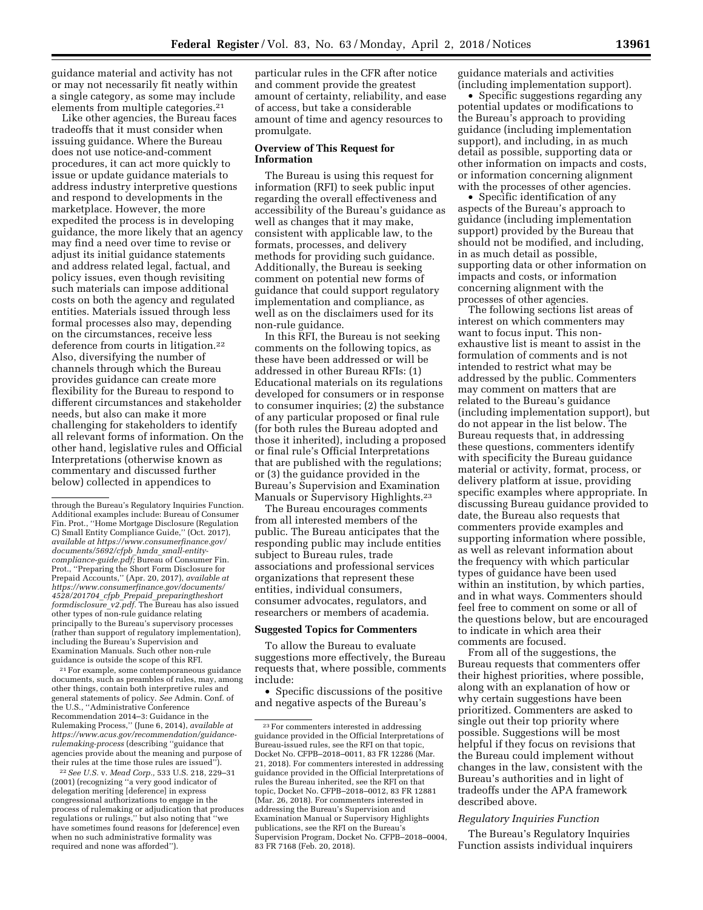guidance material and activity has not or may not necessarily fit neatly within a single category, as some may include elements from multiple categories.21

Like other agencies, the Bureau faces tradeoffs that it must consider when issuing guidance. Where the Bureau does not use notice-and-comment procedures, it can act more quickly to issue or update guidance materials to address industry interpretive questions and respond to developments in the marketplace. However, the more expedited the process is in developing guidance, the more likely that an agency may find a need over time to revise or adjust its initial guidance statements and address related legal, factual, and policy issues, even though revisiting such materials can impose additional costs on both the agency and regulated entities. Materials issued through less formal processes also may, depending on the circumstances, receive less deference from courts in litigation.22 Also, diversifying the number of channels through which the Bureau provides guidance can create more flexibility for the Bureau to respond to different circumstances and stakeholder needs, but also can make it more challenging for stakeholders to identify all relevant forms of information. On the other hand, legislative rules and Official Interpretations (otherwise known as commentary and discussed further below) collected in appendices to

21For example, some contemporaneous guidance documents, such as preambles of rules, may, among other things, contain both interpretive rules and general statements of policy. *See* Admin. Conf. of the U.S., ''Administrative Conference Recommendation 2014–3: Guidance in the Rulemaking Process,'' (June 6, 2014), *available at [https://www.acus.gov/recommendation/guidance](https://www.acus.gov/recommendation/guidance-rulemaking-process)[rulemaking-process](https://www.acus.gov/recommendation/guidance-rulemaking-process)* (describing ''guidance that agencies provide about the meaning and purpose of their rules at the time those rules are issued'').

22*See U.S.* v. *Mead Corp.,* 533 U.S. 218, 229–31 (2001) (recognizing ''a very good indicator of delegation meriting [deference] in express congressional authorizations to engage in the process of rulemaking or adjudication that produces regulations or rulings,'' but also noting that ''we have sometimes found reasons for [deference] even when no such administrative formality was required and none was afforded'').

particular rules in the CFR after notice and comment provide the greatest amount of certainty, reliability, and ease of access, but take a considerable amount of time and agency resources to promulgate.

## **Overview of This Request for Information**

The Bureau is using this request for information (RFI) to seek public input regarding the overall effectiveness and accessibility of the Bureau's guidance as well as changes that it may make, consistent with applicable law, to the formats, processes, and delivery methods for providing such guidance. Additionally, the Bureau is seeking comment on potential new forms of guidance that could support regulatory implementation and compliance, as well as on the disclaimers used for its non-rule guidance.

In this RFI, the Bureau is not seeking comments on the following topics, as these have been addressed or will be addressed in other Bureau RFIs: (1) Educational materials on its regulations developed for consumers or in response to consumer inquiries; (2) the substance of any particular proposed or final rule (for both rules the Bureau adopted and those it inherited), including a proposed or final rule's Official Interpretations that are published with the regulations; or (3) the guidance provided in the Bureau's Supervision and Examination Manuals or Supervisory Highlights.<sup>23</sup>

The Bureau encourages comments from all interested members of the public. The Bureau anticipates that the responding public may include entities subject to Bureau rules, trade associations and professional services organizations that represent these entities, individual consumers, consumer advocates, regulators, and researchers or members of academia.

## **Suggested Topics for Commenters**

To allow the Bureau to evaluate suggestions more effectively, the Bureau requests that, where possible, comments include:

• Specific discussions of the positive and negative aspects of the Bureau's

guidance materials and activities (including implementation support).

• Specific suggestions regarding any potential updates or modifications to the Bureau's approach to providing guidance (including implementation support), and including, in as much detail as possible, supporting data or other information on impacts and costs, or information concerning alignment with the processes of other agencies.

• Specific identification of any aspects of the Bureau's approach to guidance (including implementation support) provided by the Bureau that should not be modified, and including, in as much detail as possible, supporting data or other information on impacts and costs, or information concerning alignment with the processes of other agencies.

The following sections list areas of interest on which commenters may want to focus input. This nonexhaustive list is meant to assist in the formulation of comments and is not intended to restrict what may be addressed by the public. Commenters may comment on matters that are related to the Bureau's guidance (including implementation support), but do not appear in the list below. The Bureau requests that, in addressing these questions, commenters identify with specificity the Bureau guidance material or activity, format, process, or delivery platform at issue, providing specific examples where appropriate. In discussing Bureau guidance provided to date, the Bureau also requests that commenters provide examples and supporting information where possible, as well as relevant information about the frequency with which particular types of guidance have been used within an institution, by which parties, and in what ways. Commenters should feel free to comment on some or all of the questions below, but are encouraged to indicate in which area their comments are focused.

From all of the suggestions, the Bureau requests that commenters offer their highest priorities, where possible, along with an explanation of how or why certain suggestions have been prioritized. Commenters are asked to single out their top priority where possible. Suggestions will be most helpful if they focus on revisions that the Bureau could implement without changes in the law, consistent with the Bureau's authorities and in light of tradeoffs under the APA framework described above.

# *Regulatory Inquiries Function*

The Bureau's Regulatory Inquiries Function assists individual inquirers

through the Bureau's Regulatory Inquiries Function. Additional examples include: Bureau of Consumer Fin. Prot., ''Home Mortgage Disclosure (Regulation C) Small Entity Compliance Guide," (Oct. 2017) *available at [https://www.consumerfinance.gov/](https://www.consumerfinance.gov/documents/5692/cfpb_hmda_small-entity-compliance-guide.pdf) [documents/5692/cfpb](https://www.consumerfinance.gov/documents/5692/cfpb_hmda_small-entity-compliance-guide.pdf)*\_*hmda*\_*small-entity[compliance-guide.pdf;](https://www.consumerfinance.gov/documents/5692/cfpb_hmda_small-entity-compliance-guide.pdf)* Bureau of Consumer Fin. Prot., ''Preparing the Short Form Disclosure for Prepaid Accounts,'' (Apr. 20, 2017), *available at [https://www.consumerfinance.gov/documents/](https://www.consumerfinance.gov/documents/4528/201704_cfpb_Prepaid_preparingtheshortformdisclosure_v2.pdf)  4528/201704*\_*cfpb*\_*Prepaid*\_*[preparingtheshort](https://www.consumerfinance.gov/documents/4528/201704_cfpb_Prepaid_preparingtheshortformdisclosure_v2.pdf) [formdisclosure](https://www.consumerfinance.gov/documents/4528/201704_cfpb_Prepaid_preparingtheshortformdisclosure_v2.pdf)*\_*v2.pdf.* The Bureau has also issued other types of non-rule guidance relating principally to the Bureau's supervisory processes (rather than support of regulatory implementation), including the Bureau's Supervision and Examination Manuals. Such other non-rule guidance is outside the scope of this RFI.

<sup>23</sup>For commenters interested in addressing guidance provided in the Official Interpretations of Bureau-issued rules, see the RFI on that topic, Docket No. CFPB–2018–0011, 83 FR 12286 (Mar. 21, 2018). For commenters interested in addressing guidance provided in the Official Interpretations of rules the Bureau inherited, see the RFI on that topic, Docket No. CFPB–2018–0012, 83 FR 12881 (Mar. 26, 2018). For commenters interested in addressing the Bureau's Supervision and Examination Manual or Supervisory Highlights publications, see the RFI on the Bureau's Supervision Program, Docket No. CFPB–2018–0004, 83 FR 7168 (Feb. 20, 2018).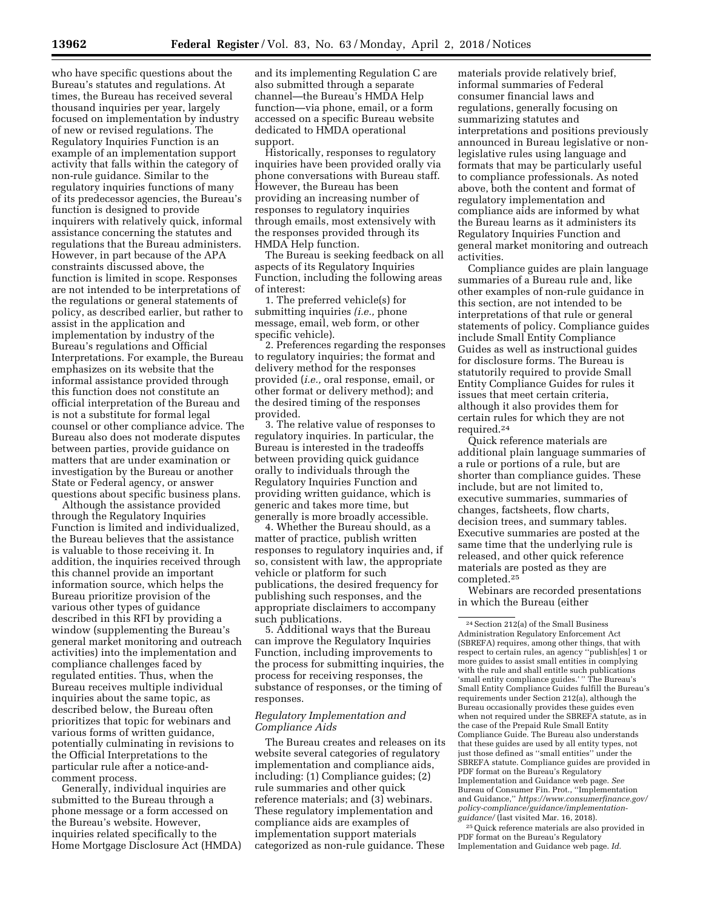who have specific questions about the Bureau's statutes and regulations. At times, the Bureau has received several thousand inquiries per year, largely focused on implementation by industry of new or revised regulations. The Regulatory Inquiries Function is an example of an implementation support activity that falls within the category of non-rule guidance. Similar to the regulatory inquiries functions of many of its predecessor agencies, the Bureau's function is designed to provide inquirers with relatively quick, informal assistance concerning the statutes and regulations that the Bureau administers. However, in part because of the APA constraints discussed above, the function is limited in scope. Responses are not intended to be interpretations of the regulations or general statements of policy, as described earlier, but rather to assist in the application and implementation by industry of the Bureau's regulations and Official Interpretations. For example, the Bureau emphasizes on its website that the informal assistance provided through this function does not constitute an official interpretation of the Bureau and is not a substitute for formal legal counsel or other compliance advice. The Bureau also does not moderate disputes between parties, provide guidance on matters that are under examination or investigation by the Bureau or another State or Federal agency, or answer questions about specific business plans.

Although the assistance provided through the Regulatory Inquiries Function is limited and individualized, the Bureau believes that the assistance is valuable to those receiving it. In addition, the inquiries received through this channel provide an important information source, which helps the Bureau prioritize provision of the various other types of guidance described in this RFI by providing a window (supplementing the Bureau's general market monitoring and outreach activities) into the implementation and compliance challenges faced by regulated entities. Thus, when the Bureau receives multiple individual inquiries about the same topic, as described below, the Bureau often prioritizes that topic for webinars and various forms of written guidance, potentially culminating in revisions to the Official Interpretations to the particular rule after a notice-andcomment process.

Generally, individual inquiries are submitted to the Bureau through a phone message or a form accessed on the Bureau's website. However, inquiries related specifically to the Home Mortgage Disclosure Act (HMDA) and its implementing Regulation C are also submitted through a separate channel—the Bureau's HMDA Help function—via phone, email, or a form accessed on a specific Bureau website dedicated to HMDA operational support.

Historically, responses to regulatory inquiries have been provided orally via phone conversations with Bureau staff. However, the Bureau has been providing an increasing number of responses to regulatory inquiries through emails, most extensively with the responses provided through its HMDA Help function.

The Bureau is seeking feedback on all aspects of its Regulatory Inquiries Function, including the following areas of interest:

1. The preferred vehicle(s) for submitting inquiries *(i.e.,* phone message, email, web form, or other specific vehicle).

2. Preferences regarding the responses to regulatory inquiries; the format and delivery method for the responses provided (*i.e.,* oral response, email, or other format or delivery method); and the desired timing of the responses provided.

3. The relative value of responses to regulatory inquiries. In particular, the Bureau is interested in the tradeoffs between providing quick guidance orally to individuals through the Regulatory Inquiries Function and providing written guidance, which is generic and takes more time, but generally is more broadly accessible.

4. Whether the Bureau should, as a matter of practice, publish written responses to regulatory inquiries and, if so, consistent with law, the appropriate vehicle or platform for such publications, the desired frequency for publishing such responses, and the appropriate disclaimers to accompany such publications.

5. Additional ways that the Bureau can improve the Regulatory Inquiries Function, including improvements to the process for submitting inquiries, the process for receiving responses, the substance of responses, or the timing of responses.

## *Regulatory Implementation and Compliance Aids*

The Bureau creates and releases on its website several categories of regulatory implementation and compliance aids, including: (1) Compliance guides; (2) rule summaries and other quick reference materials; and (3) webinars. These regulatory implementation and compliance aids are examples of implementation support materials categorized as non-rule guidance. These

materials provide relatively brief, informal summaries of Federal consumer financial laws and regulations, generally focusing on summarizing statutes and interpretations and positions previously announced in Bureau legislative or nonlegislative rules using language and formats that may be particularly useful to compliance professionals. As noted above, both the content and format of regulatory implementation and compliance aids are informed by what the Bureau learns as it administers its Regulatory Inquiries Function and general market monitoring and outreach activities.

Compliance guides are plain language summaries of a Bureau rule and, like other examples of non-rule guidance in this section, are not intended to be interpretations of that rule or general statements of policy. Compliance guides include Small Entity Compliance Guides as well as instructional guides for disclosure forms. The Bureau is statutorily required to provide Small Entity Compliance Guides for rules it issues that meet certain criteria, although it also provides them for certain rules for which they are not required.24

Quick reference materials are additional plain language summaries of a rule or portions of a rule, but are shorter than compliance guides. These include, but are not limited to, executive summaries, summaries of changes, factsheets, flow charts, decision trees, and summary tables. Executive summaries are posted at the same time that the underlying rule is released, and other quick reference materials are posted as they are completed.25

Webinars are recorded presentations in which the Bureau (either

25Quick reference materials are also provided in PDF format on the Bureau's Regulatory Implementation and Guidance web page. *Id.* 

<sup>24</sup>Section 212(a) of the Small Business Administration Regulatory Enforcement Act (SBREFA) requires, among other things, that with respect to certain rules, an agency ''publish[es] 1 or more guides to assist small entities in complying with the rule and shall entitle such publications 'small entity compliance guides.' '' The Bureau's Small Entity Compliance Guides fulfill the Bureau's requirements under Section 212(a), although the Bureau occasionally provides these guides even when not required under the SBREFA statute, as in the case of the Prepaid Rule Small Entity Compliance Guide. The Bureau also understands that these guides are used by all entity types, not just those defined as ''small entities'' under the SBREFA statute. Compliance guides are provided in PDF format on the Bureau's Regulatory Implementation and Guidance web page. *See*  Bureau of Consumer Fin. Prot., ''Implementation and Guidance,'' *[https://www.consumerfinance.gov/](https://www.consumerfinance.gov/policy-compliance/guidance/implementation-guidance/)  [policy-compliance/guidance/implementation](https://www.consumerfinance.gov/policy-compliance/guidance/implementation-guidance/)[guidance/](https://www.consumerfinance.gov/policy-compliance/guidance/implementation-guidance/)* (last visited Mar. 16, 2018).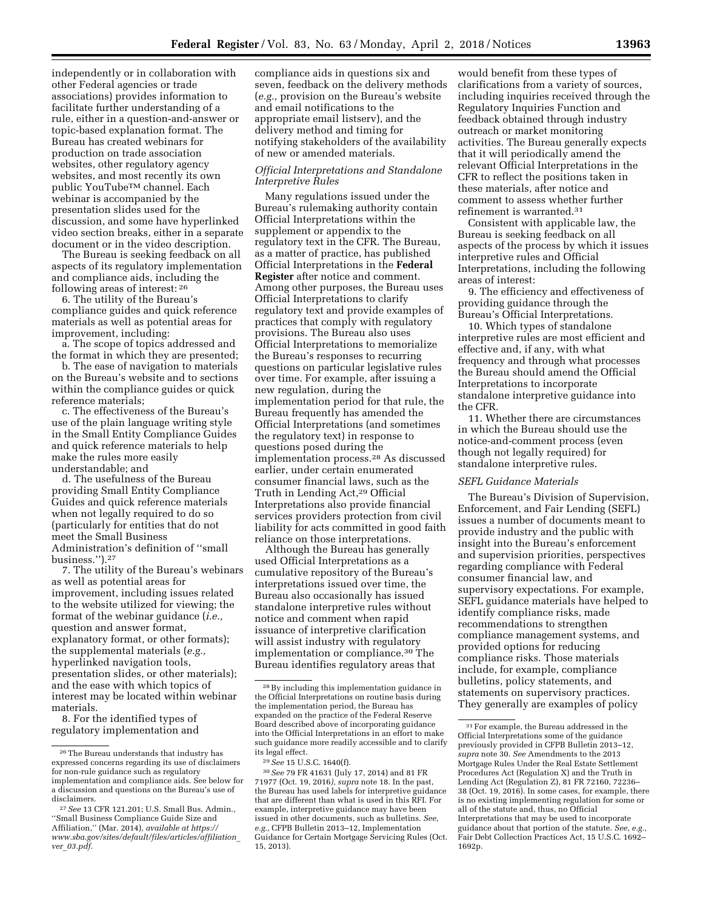independently or in collaboration with other Federal agencies or trade associations) provides information to facilitate further understanding of a rule, either in a question-and-answer or topic-based explanation format. The Bureau has created webinars for production on trade association websites, other regulatory agency websites, and most recently its own public YouTubeTM channel. Each webinar is accompanied by the presentation slides used for the discussion, and some have hyperlinked video section breaks, either in a separate document or in the video description.

The Bureau is seeking feedback on all aspects of its regulatory implementation and compliance aids, including the following areas of interest: 26

6. The utility of the Bureau's compliance guides and quick reference materials as well as potential areas for improvement, including:

a. The scope of topics addressed and the format in which they are presented;

b. The ease of navigation to materials on the Bureau's website and to sections within the compliance guides or quick reference materials;

c. The effectiveness of the Bureau's use of the plain language writing style in the Small Entity Compliance Guides and quick reference materials to help make the rules more easily understandable; and

d. The usefulness of the Bureau providing Small Entity Compliance Guides and quick reference materials when not legally required to do so (particularly for entities that do not meet the Small Business Administration's definition of ''small business.'').27

7. The utility of the Bureau's webinars as well as potential areas for improvement, including issues related to the website utilized for viewing; the format of the webinar guidance (*i.e.,*  question and answer format, explanatory format, or other formats); the supplemental materials (*e.g.,*  hyperlinked navigation tools, presentation slides, or other materials); and the ease with which topics of interest may be located within webinar materials.

8. For the identified types of regulatory implementation and

compliance aids in questions six and seven, feedback on the delivery methods (*e.g.,* provision on the Bureau's website and email notifications to the appropriate email listserv), and the delivery method and timing for notifying stakeholders of the availability of new or amended materials.

## *Official Interpretations and Standalone Interpretive Rules*

Many regulations issued under the Bureau's rulemaking authority contain Official Interpretations within the supplement or appendix to the regulatory text in the CFR. The Bureau, as a matter of practice, has published Official Interpretations in the **Federal Register** after notice and comment. Among other purposes, the Bureau uses Official Interpretations to clarify regulatory text and provide examples of practices that comply with regulatory provisions. The Bureau also uses Official Interpretations to memorialize the Bureau's responses to recurring questions on particular legislative rules over time. For example, after issuing a new regulation, during the implementation period for that rule, the Bureau frequently has amended the Official Interpretations (and sometimes the regulatory text) in response to questions posed during the implementation process.28 As discussed earlier, under certain enumerated consumer financial laws, such as the Truth in Lending Act,29 Official Interpretations also provide financial services providers protection from civil liability for acts committed in good faith reliance on those interpretations.

Although the Bureau has generally used Official Interpretations as a cumulative repository of the Bureau's interpretations issued over time, the Bureau also occasionally has issued standalone interpretive rules without notice and comment when rapid issuance of interpretive clarification will assist industry with regulatory implementation or compliance.30 The Bureau identifies regulatory areas that

would benefit from these types of clarifications from a variety of sources, including inquiries received through the Regulatory Inquiries Function and feedback obtained through industry outreach or market monitoring activities. The Bureau generally expects that it will periodically amend the relevant Official Interpretations in the CFR to reflect the positions taken in these materials, after notice and comment to assess whether further refinement is warranted.31

Consistent with applicable law, the Bureau is seeking feedback on all aspects of the process by which it issues interpretive rules and Official Interpretations, including the following areas of interest:

9. The efficiency and effectiveness of providing guidance through the Bureau's Official Interpretations.

10. Which types of standalone interpretive rules are most efficient and effective and, if any, with what frequency and through what processes the Bureau should amend the Official Interpretations to incorporate standalone interpretive guidance into the CFR.

11. Whether there are circumstances in which the Bureau should use the notice-and-comment process (even though not legally required) for standalone interpretive rules.

### *SEFL Guidance Materials*

The Bureau's Division of Supervision, Enforcement, and Fair Lending (SEFL) issues a number of documents meant to provide industry and the public with insight into the Bureau's enforcement and supervision priorities, perspectives regarding compliance with Federal consumer financial law, and supervisory expectations. For example, SEFL guidance materials have helped to identify compliance risks, made recommendations to strengthen compliance management systems, and provided options for reducing compliance risks. Those materials include, for example, compliance bulletins, policy statements, and statements on supervisory practices. They generally are examples of policy

<sup>26</sup>The Bureau understands that industry has expressed concerns regarding its use of disclaimers for non-rule guidance such as regulatory implementation and compliance aids. See below for a discussion and questions on the Bureau's use of disclaimers.

<sup>27</sup>*See* 13 CFR 121.201; U.S. Small Bus. Admin., ''Small Business Compliance Guide Size and Affiliation,'' (Mar. 2014), *available at [https://](https://www.sba.gov/sites/default/files/articles/affiliation_ver_03.pdf) [www.sba.gov/sites/default/files/articles/affiliation](https://www.sba.gov/sites/default/files/articles/affiliation_ver_03.pdf)*\_ *ver*\_*[03.pdf.](https://www.sba.gov/sites/default/files/articles/affiliation_ver_03.pdf)* 

<sup>28</sup>By including this implementation guidance in the Official Interpretations on routine basis during the implementation period, the Bureau has expanded on the practice of the Federal Reserve Board described above of incorporating guidance into the Official Interpretations in an effort to make such guidance more readily accessible and to clarify its legal effect.

<sup>29</sup>*See* 15 U.S.C. 1640(f).

<sup>30</sup>*See* 79 FR 41631 (July 17, 2014) and 81 FR 71977 (Oct. 19, 2016*), supra* note 18. In the past, the Bureau has used labels for interpretive guidance that are different than what is used in this RFI. For example, interpretive guidance may have been issued in other documents, such as bulletins. *See, e.g.,* CFPB Bulletin 2013–12, Implementation Guidance for Certain Mortgage Servicing Rules (Oct. 15, 2013).

<sup>31</sup>For example, the Bureau addressed in the Official Interpretations some of the guidance previously provided in CFPB Bulletin 2013–12, *supra* note 30. *See* Amendments to the 2013 Mortgage Rules Under the Real Estate Settlement Procedures Act (Regulation X) and the Truth in Lending Act (Regulation Z), 81 FR 72160, 72236– 38 (Oct. 19, 2016). In some cases, for example, there is no existing implementing regulation for some or all of the statute and, thus, no Official Interpretations that may be used to incorporate guidance about that portion of the statute. *See, e.g.,*  Fair Debt Collection Practices Act, 15 U.S.C. 1692– 1692p.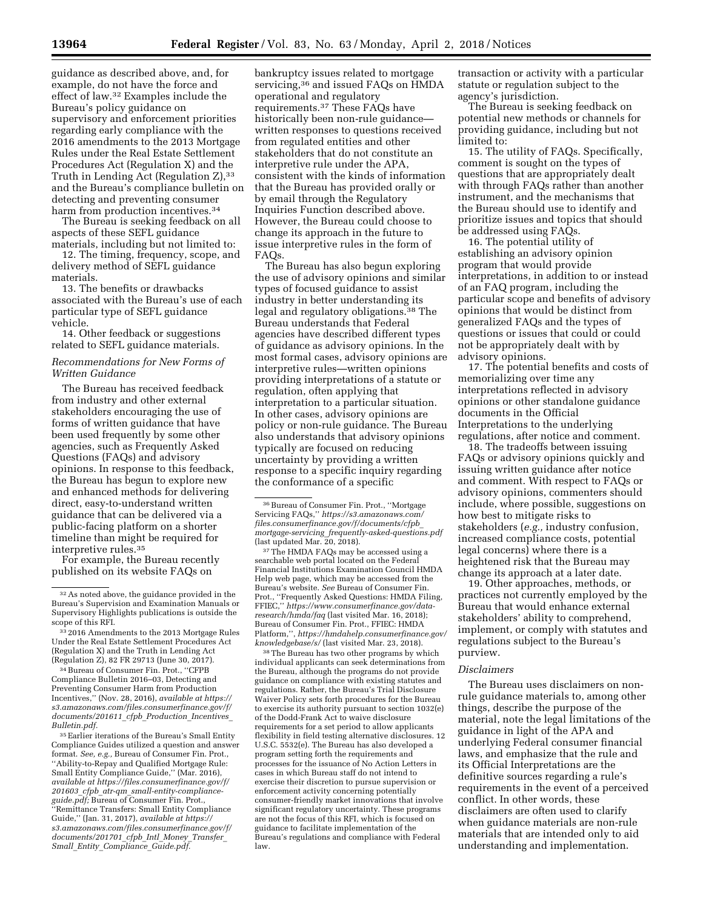guidance as described above, and, for example, do not have the force and effect of law.32 Examples include the Bureau's policy guidance on supervisory and enforcement priorities regarding early compliance with the 2016 amendments to the 2013 Mortgage Rules under the Real Estate Settlement Procedures Act (Regulation X) and the Truth in Lending Act (Regulation Z), 33 and the Bureau's compliance bulletin on detecting and preventing consumer harm from production incentives.<sup>34</sup>

The Bureau is seeking feedback on all aspects of these SEFL guidance materials, including but not limited to:

12. The timing, frequency, scope, and delivery method of SEFL guidance materials.

13. The benefits or drawbacks associated with the Bureau's use of each particular type of SEFL guidance vehicle.

14. Other feedback or suggestions related to SEFL guidance materials.

### *Recommendations for New Forms of Written Guidance*

The Bureau has received feedback from industry and other external stakeholders encouraging the use of forms of written guidance that have been used frequently by some other agencies, such as Frequently Asked Questions (FAQs) and advisory opinions. In response to this feedback, the Bureau has begun to explore new and enhanced methods for delivering direct, easy-to-understand written guidance that can be delivered via a public-facing platform on a shorter timeline than might be required for interpretive rules.35

For example, the Bureau recently published on its website FAQs on

33 2016 Amendments to the 2013 Mortgage Rules Under the Real Estate Settlement Procedures Act (Regulation X) and the Truth in Lending Act (Regulation Z), 82 FR 29713 (June 30, 2017).

34Bureau of Consumer Fin. Prot., ''CFPB Compliance Bulletin 2016–03, Detecting and Preventing Consumer Harm from Production Incentives,'' (Nov. 28, 2016), *available at [https://](https://s3.amazonaws.com/files.consumerfinance.gov/f/documents/201611_cfpb_Production_Incentives_Bulletin.pdf) [s3.amazonaws.com/files.consumerfinance.gov/f/](https://s3.amazonaws.com/files.consumerfinance.gov/f/documents/201611_cfpb_Production_Incentives_Bulletin.pdf)  [documents/201611](https://s3.amazonaws.com/files.consumerfinance.gov/f/documents/201611_cfpb_Production_Incentives_Bulletin.pdf)*\_*cfpb*\_*Production*\_*Incentives*\_ *[Bulletin.pdf.](https://s3.amazonaws.com/files.consumerfinance.gov/f/documents/201611_cfpb_Production_Incentives_Bulletin.pdf)* 

35Earlier iterations of the Bureau's Small Entity Compliance Guides utilized a question and answer format. *See, e.g.,* Bureau of Consumer Fin. Prot., ''Ability-to-Repay and Qualified Mortgage Rule: Small Entity Compliance Guide,'' (Mar. 2016), *available at [https://files.consumerfinance.gov/f/](https://files.consumerfinance.gov/f/201603_cfpb_atr-qm_small-entity-compliance-guide.pdf)  201603*\_*cfpb*\_*atr-qm*\_*[small-entity-compliance](https://files.consumerfinance.gov/f/201603_cfpb_atr-qm_small-entity-compliance-guide.pdf)[guide.pdf;](https://files.consumerfinance.gov/f/201603_cfpb_atr-qm_small-entity-compliance-guide.pdf)* Bureau of Consumer Fin. Prot., ''Remittance Transfers: Small Entity Compliance Guide,'' (Jan. 31, 2017), *available at [https://](https://s3.amazonaws.com/files.consumerfinance.gov/f/documents/201701_cfpb_Intl_Money_Transfer_Small_Entity_Compliance_Guide.pdf) [s3.amazonaws.com/files.consumerfinance.gov/f/](https://s3.amazonaws.com/files.consumerfinance.gov/f/documents/201701_cfpb_Intl_Money_Transfer_Small_Entity_Compliance_Guide.pdf)  [documents/201701](https://s3.amazonaws.com/files.consumerfinance.gov/f/documents/201701_cfpb_Intl_Money_Transfer_Small_Entity_Compliance_Guide.pdf)*\_*cfpb*\_*Intl*\_*Money*\_*Transfer*\_ *Small*\_*Entity*\_*[Compliance](https://s3.amazonaws.com/files.consumerfinance.gov/f/documents/201701_cfpb_Intl_Money_Transfer_Small_Entity_Compliance_Guide.pdf)*\_*Guide.pdf.* 

bankruptcy issues related to mortgage servicing,<sup>36</sup> and issued FAQs on HMDA operational and regulatory requirements.37 These FAQs have historically been non-rule guidance written responses to questions received from regulated entities and other stakeholders that do not constitute an interpretive rule under the APA, consistent with the kinds of information that the Bureau has provided orally or by email through the Regulatory Inquiries Function described above. However, the Bureau could choose to change its approach in the future to issue interpretive rules in the form of FAQs.

The Bureau has also begun exploring the use of advisory opinions and similar types of focused guidance to assist industry in better understanding its legal and regulatory obligations.38 The Bureau understands that Federal agencies have described different types of guidance as advisory opinions. In the most formal cases, advisory opinions are interpretive rules—written opinions providing interpretations of a statute or regulation, often applying that interpretation to a particular situation. In other cases, advisory opinions are policy or non-rule guidance. The Bureau also understands that advisory opinions typically are focused on reducing uncertainty by providing a written response to a specific inquiry regarding the conformance of a specific

37The HMDA FAQs may be accessed using a searchable web portal located on the Federal Financial Institutions Examination Council HMDA Help web page, which may be accessed from the Bureau's website. *See* Bureau of Consumer Fin. Prot., ''Frequently Asked Questions: HMDA Filing, FFIEC,'' *[https://www.consumerfinance.gov/data](https://www.consumerfinance.gov/data-research/hmda/faq)[research/hmda/faq](https://www.consumerfinance.gov/data-research/hmda/faq)* (last visited Mar. 16, 2018); Bureau of Consumer Fin. Prot., FFIEC: HMDA Platform,'', *[https://hmdahelp.consumerfinance.gov/](https://hmdahelp.consumerfinance.gov/knowledgebase/s/) [knowledgebase/s/](https://hmdahelp.consumerfinance.gov/knowledgebase/s/)* (last visited Mar. 23, 2018).

38The Bureau has two other programs by which individual applicants can seek determinations from the Bureau, although the programs do not provide guidance on compliance with existing statutes and regulations. Rather, the Bureau's Trial Disclosure Waiver Policy sets forth procedures for the Bureau to exercise its authority pursuant to section 1032(e) of the Dodd-Frank Act to waive disclosure requirements for a set period to allow applicants flexibility in field testing alternative disclosures. 12 U.S.C. 5532(e). The Bureau has also developed a program setting forth the requirements and processes for the issuance of No Action Letters in cases in which Bureau staff do not intend to exercise their discretion to pursue supervision or enforcement activity concerning potentially consumer-friendly market innovations that involve significant regulatory uncertainty. These programs are not the focus of this RFI, which is focused on guidance to facilitate implementation of the Bureau's regulations and compliance with Federal law.

transaction or activity with a particular statute or regulation subject to the agency's jurisdiction.

The Bureau is seeking feedback on potential new methods or channels for providing guidance, including but not limited to:

15. The utility of FAQs. Specifically, comment is sought on the types of questions that are appropriately dealt with through FAQs rather than another instrument, and the mechanisms that the Bureau should use to identify and prioritize issues and topics that should be addressed using FAQs.

16. The potential utility of establishing an advisory opinion program that would provide interpretations, in addition to or instead of an FAQ program, including the particular scope and benefits of advisory opinions that would be distinct from generalized FAQs and the types of questions or issues that could or could not be appropriately dealt with by advisory opinions.

17. The potential benefits and costs of memorializing over time any interpretations reflected in advisory opinions or other standalone guidance documents in the Official Interpretations to the underlying regulations, after notice and comment.

18. The tradeoffs between issuing FAQs or advisory opinions quickly and issuing written guidance after notice and comment. With respect to FAQs or advisory opinions, commenters should include, where possible, suggestions on how best to mitigate risks to stakeholders (*e.g.,* industry confusion, increased compliance costs, potential legal concerns) where there is a heightened risk that the Bureau may change its approach at a later date.

19. Other approaches, methods, or practices not currently employed by the Bureau that would enhance external stakeholders' ability to comprehend, implement, or comply with statutes and regulations subject to the Bureau's purview.

#### *Disclaimers*

The Bureau uses disclaimers on nonrule guidance materials to, among other things, describe the purpose of the material, note the legal limitations of the guidance in light of the APA and underlying Federal consumer financial laws, and emphasize that the rule and its Official Interpretations are the definitive sources regarding a rule's requirements in the event of a perceived conflict. In other words, these disclaimers are often used to clarify when guidance materials are non-rule materials that are intended only to aid understanding and implementation.

<sup>32</sup>As noted above, the guidance provided in the Bureau's Supervision and Examination Manuals or Supervisory Highlights publications is outside the scope of this RFI.

<sup>&</sup>lt;sup>36</sup> Bureau of Consumer Fin. Prot., "Mortgage Servicing FAQs,'' *[https://s3.amazonaws.com/](https://s3.amazonaws.com/files.consumerfinance.gov/f/documents/cfpb_mortgage-servicing_frequently-asked-questions.pdf) [files.consumerfinance.gov/f/documents/cfpb](https://s3.amazonaws.com/files.consumerfinance.gov/f/documents/cfpb_mortgage-servicing_frequently-asked-questions.pdf)*\_ *mortgage-servicing*\_*[frequently-asked-questions.pdf](https://s3.amazonaws.com/files.consumerfinance.gov/f/documents/cfpb_mortgage-servicing_frequently-asked-questions.pdf)*  (last updated Mar. 20, 2018).